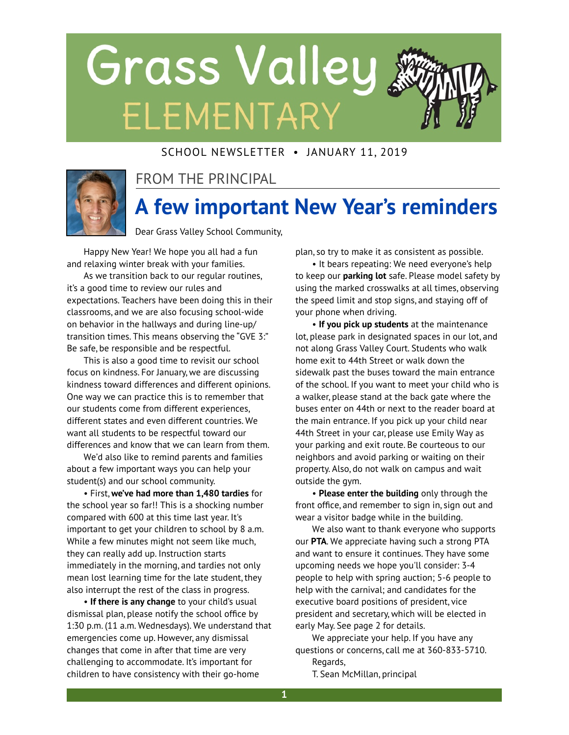# Grass Valley & ELEMENTARY

#### SCHOOL NEWSLETTER • JANUARY 11, 2019



#### FROM THE PRINCIPAL

# **A few important New Year's reminders**

Dear Grass Valley School Community,

Happy New Year! We hope you all had a fun and relaxing winter break with your families.

As we transition back to our regular routines, it's a good time to review our rules and expectations. Teachers have been doing this in their classrooms, and we are also focusing school-wide on behavior in the hallways and during line-up/ transition times. This means observing the "GVE 3:" Be safe, be responsible and be respectful.

This is also a good time to revisit our school focus on kindness. For January, we are discussing kindness toward differences and different opinions. One way we can practice this is to remember that our students come from different experiences, different states and even different countries. We want all students to be respectful toward our differences and know that we can learn from them.

We'd also like to remind parents and families about a few important ways you can help your student(s) and our school community.

• First, **we've had more than 1,480 tardies** for the school year so far!! This is a shocking number compared with 600 at this time last year. It's important to get your children to school by 8 a.m. While a few minutes might not seem like much, they can really add up. Instruction starts immediately in the morning, and tardies not only mean lost learning time for the late student, they also interrupt the rest of the class in progress.

• **If there is any change** to your child's usual dismissal plan, please notify the school office by 1:30 p.m. (11 a.m. Wednesdays). We understand that emergencies come up. However, any dismissal changes that come in after that time are very challenging to accommodate. It's important for children to have consistency with their go-home

plan, so try to make it as consistent as possible.

• It bears repeating: We need everyone's help to keep our **parking lot** safe. Please model safety by using the marked crosswalks at all times, observing the speed limit and stop signs, and staying off of your phone when driving.

• **If you pick up students** at the maintenance lot, please park in designated spaces in our lot, and not along Grass Valley Court. Students who walk home exit to 44th Street or walk down the sidewalk past the buses toward the main entrance of the school. If you want to meet your child who is a walker, please stand at the back gate where the buses enter on 44th or next to the reader board at the main entrance. If you pick up your child near 44th Street in your car, please use Emily Way as your parking and exit route. Be courteous to our neighbors and avoid parking or waiting on their property. Also, do not walk on campus and wait outside the gym.

• **Please enter the building** only through the front office, and remember to sign in, sign out and wear a visitor badge while in the building.

We also want to thank everyone who supports our **PTA**. We appreciate having such a strong PTA and want to ensure it continues. They have some upcoming needs we hope you'll consider: 3-4 people to help with spring auction; 5-6 people to help with the carnival; and candidates for the executive board positions of president, vice president and secretary, which will be elected in early May. See page 2 for details.

We appreciate your help. If you have any questions or concerns, call me at 360-833-5710. Regards,

T. Sean McMillan, principal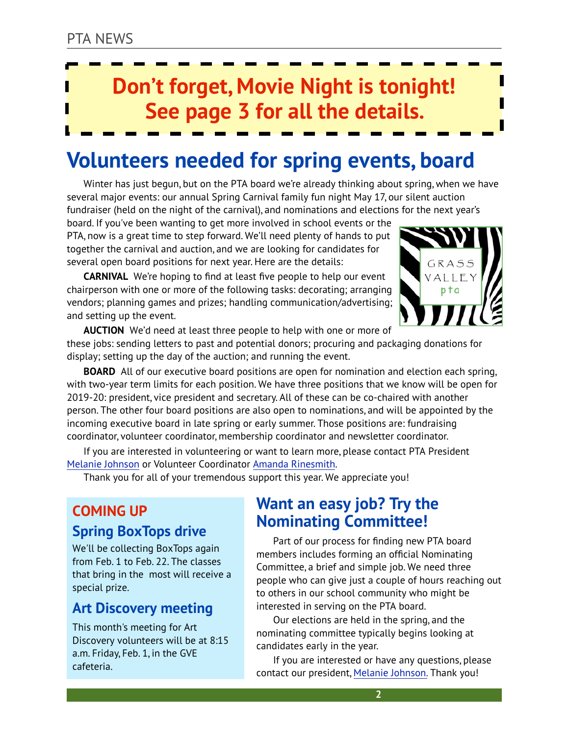# **Don't forget, Movie Night is tonight! See page 3 for all the details.**

# **Volunteers needed for spring events, board**

Winter has just begun, but on the PTA board we're already thinking about spring, when we have several major events: our annual Spring Carnival family fun night May 17, our silent auction

fundraiser (held on the night of the carnival), and nominations and elections for the next year's

board. If you've been wanting to get more involved in school events or the PTA, now is a great time to step forward. We'll need plenty of hands to put together the carnival and auction, and we are looking for candidates for several open board positions for next year. Here are the details:

**CARNIVAL** We're hoping to find at least five people to help our event chairperson with one or more of the following tasks: decorating; arranging vendors; planning games and prizes; handling communication/advertising; and setting up the event.



**AUCTION** We'd need at least three people to help with one or more of

these jobs: sending letters to past and potential donors; procuring and packaging donations for display; setting up the day of the auction; and running the event.

**BOARD** All of our executive board positions are open for nomination and election each spring, with two-year term limits for each position. We have three positions that we know will be open for 2019-20: president, vice president and secretary. All of these can be co-chaired with another person. The other four board positions are also open to nominations, and will be appointed by the incoming executive board in late spring or early summer. Those positions are: fundraising coordinator, volunteer coordinator, membership coordinator and newsletter coordinator.

If you are interested in volunteering or want to learn more, please contact PTA President [Melanie Johnson](mailto:president@gvezebraspta.org?subject=email%20subject) or Volunteer Coordinator [Amanda Rinesmith.](mailto:volunteers@gvezebraspta.org?subject=email%20subject)

Thank you for all of your tremendous support this year. We appreciate you!

## **COMING UP**

### **Spring BoxTops drive**

We'll be collecting BoxTops again from Feb. 1 to Feb. 22. The classes that bring in the most will receive a special prize.

### **Art Discovery meeting**

This month's meeting for Art Discovery volunteers will be at 8:15 a.m. Friday, Feb. 1, in the GVE cafeteria.

## **Want an easy job? Try the Nominating Committee!**

Part of our process for finding new PTA board members includes forming an official Nominating Committee, a brief and simple job. We need three people who can give just a couple of hours reaching out to others in our school community who might be interested in serving on the PTA board.

Our elections are held in the spring, and the nominating committee typically begins looking at candidates early in the year.

If you are interested or have any questions, please contact our president, [Melanie Johnson.](mailto:president@gvezebraspta.org?subject=email%20subject) Thank you!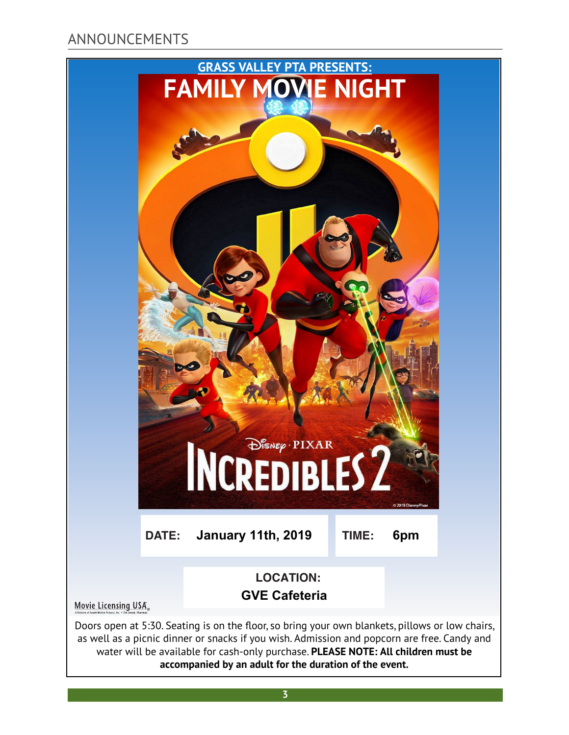## ANNOUNCEMENTS

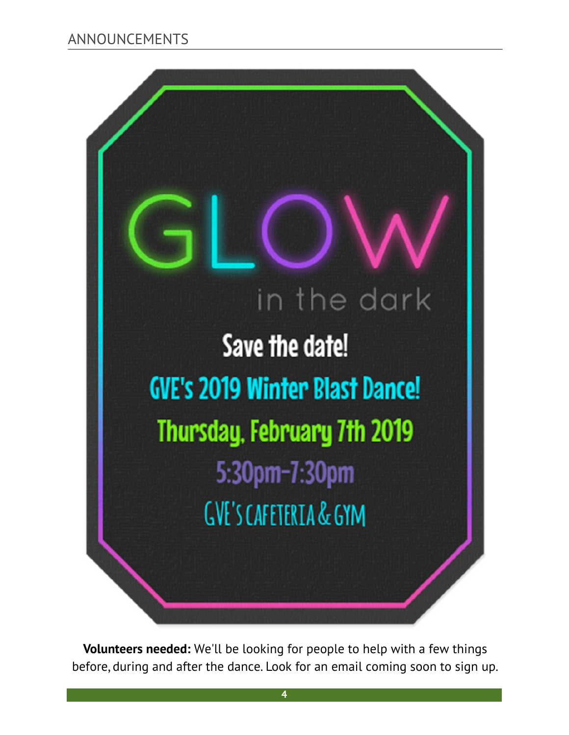

**Volunteers needed:** We'll be looking for people to help with a few things before, during and after the dance. Look for an email coming soon to sign up.